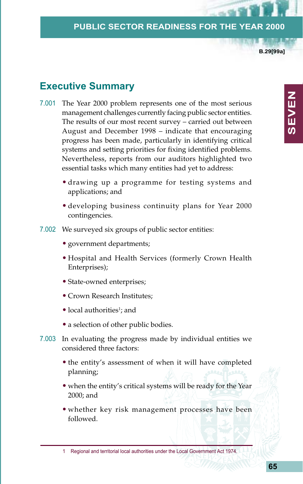**B.29[99a]**

**SEVEN**

**SEVEN** 

# **Executive Summary**

- 7.001 The Year 2000 problem represents one of the most serious management challenges currently facing public sector entities. The results of our most recent survey – carried out between August and December 1998 – indicate that encouraging progress has been made, particularly in identifying critical systems and setting priorities for fixing identified problems. Nevertheless, reports from our auditors highlighted two essential tasks which many entities had yet to address:
	- drawing up a programme for testing systems and applications; and
	- developing business continuity plans for Year 2000 contingencies.
- 7.002 We surveyed six groups of public sector entities:
	- government departments;
	- Hospital and Health Services (formerly Crown Health Enterprises);
	- State-owned enterprises;
	- Crown Research Institutes;
	- local authorities<sup>1</sup>; and
	- a selection of other public bodies.
- 7.003 In evaluating the progress made by individual entities we considered three factors:
	- the entity's assessment of when it will have completed planning;
	- when the entity's critical systems will be ready for the Year 2000; and
	- whether key risk management processes have been followed.

1 Regional and territorial local authorities under the Local Government Act 1974.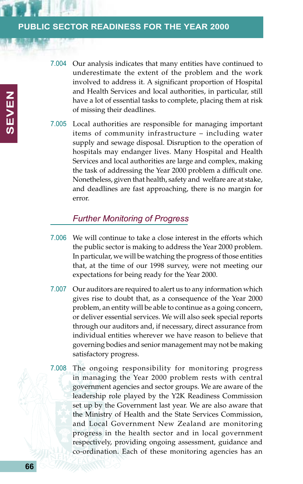- 7.004 Our analysis indicates that many entities have continued to underestimate the extent of the problem and the work involved to address it. A significant proportion of Hospital and Health Services and local authorities, in particular, still have a lot of essential tasks to complete, placing them at risk of missing their deadlines.
- 7.005 Local authorities are responsible for managing important items of community infrastructure – including water supply and sewage disposal. Disruption to the operation of hospitals may endanger lives. Many Hospital and Health Services and local authorities are large and complex, making the task of addressing the Year 2000 problem a difficult one. Nonetheless, given that health, safety and welfare are at stake, and deadlines are fast approaching, there is no margin for error.

## *Further Monitoring of Progress*

- 7.006 We will continue to take a close interest in the efforts which the public sector is making to address the Year 2000 problem. In particular, we will be watching the progress of those entities that, at the time of our 1998 survey, were not meeting our expectations for being ready for the Year 2000.
- 7.007 Our auditors are required to alert us to any information which gives rise to doubt that, as a consequence of the Year 2000 problem, an entity will be able to continue as a going concern, or deliver essential services. We will also seek special reports through our auditors and, if necessary, direct assurance from individual entities wherever we have reason to believe that governing bodies and senior management may not be making satisfactory progress.
- 7.008 The ongoing responsibility for monitoring progress in managing the Year 2000 problem rests with central government agencies and sector groups. We are aware of the leadership role played by the Y2K Readiness Commission set up by the Government last year. We are also aware that the Ministry of Health and the State Services Commission, and Local Government New Zealand are monitoring progress in the health sector and in local government respectively, providing ongoing assessment, guidance and co-ordination. Each of these monitoring agencies has an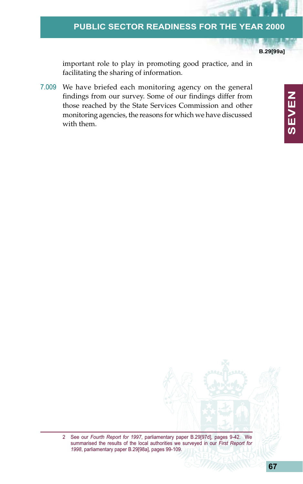**B.29[99a]**

**SEVEN**

**SEVEN** 

important role to play in promoting good practice, and in facilitating the sharing of information.

7.009 We have briefed each monitoring agency on the general findings from our survey. Some of our findings differ from those reached by the State Services Commission and other monitoring agencies, the reasons for which we have discussed with them.

> 2 See our *Fourth Report for 1997*, parliamentary paper B.29[97d], pages 9-42. We summarised the results of the local authorities we surveyed in our *First Report for 1998*, parliamentary paper B.29[98a], pages 99-109.

**67**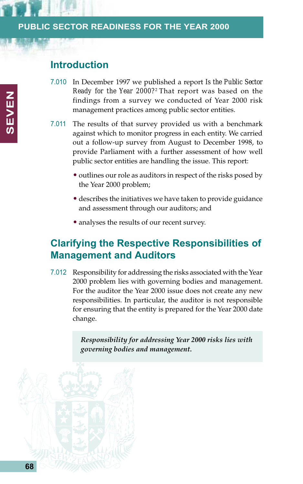# **Introduction**

- 7.010 In December 1997 we published a report *Is the Public Sector Ready for the Year 2000?*<sup>2</sup> That report was based on the findings from a survey we conducted of Year 2000 risk management practices among public sector entities.
- 7.011 The results of that survey provided us with a benchmark against which to monitor progress in each entity. We carried out a follow-up survey from August to December 1998, to provide Parliament with a further assessment of how well public sector entities are handling the issue. This report:
	- outlines our role as auditors in respect of the risks posed by the Year 2000 problem;
	- describes the initiatives we have taken to provide guidance and assessment through our auditors; and
	- analyses the results of our recent survey.

# **Clarifying the Respective Responsibilities of Management and Auditors**

7.012 Responsibility for addressing the risks associated with the Year 2000 problem lies with governing bodies and management. For the auditor the Year 2000 issue does not create any new responsibilities. In particular, the auditor is not responsible for ensuring that the entity is prepared for the Year 2000 date change.

> *Responsibility for addressing Year 2000 risks lies with governing bodies and management.*

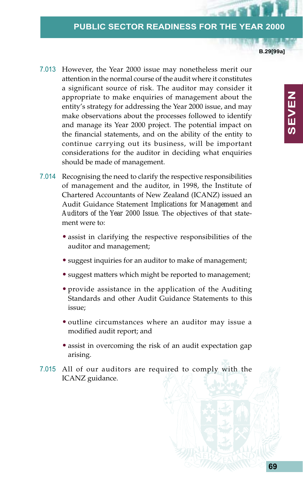**B.29[99a]**

- 7.013 However, the Year 2000 issue may nonetheless merit our attention in the normal course of the audit where it constitutes a significant source of risk. The auditor may consider it appropriate to make enquiries of management about the entity's strategy for addressing the Year 2000 issue, and may make observations about the processes followed to identify and manage its Year 2000 project. The potential impact on the financial statements, and on the ability of the entity to continue carrying out its business, will be important considerations for the auditor in deciding what enquiries should be made of management.
- 7.014 Recognising the need to clarify the respective responsibilities of management and the auditor, in 1998, the Institute of Chartered Accountants of New Zealand (ICANZ) issued an Audit Guidance Statement *Implications for Management and Auditors of the Year 2000 Issue*. The objectives of that statement were to:
	- assist in clarifying the respective responsibilities of the auditor and management;
	- suggest inquiries for an auditor to make of management;
	- suggest matters which might be reported to management;
	- provide assistance in the application of the Auditing Standards and other Audit Guidance Statements to this issue;
	- outline circumstances where an auditor may issue a modified audit report; and
	- assist in overcoming the risk of an audit expectation gap arising.
- 7.015 All of our auditors are required to comply with the ICANZ guidance.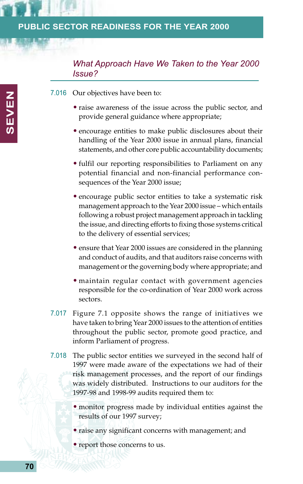## *What Approach Have We Taken to the Year 2000 Issue?*

7.016 Our objectives have been to:

- raise awareness of the issue across the public sector, and provide general guidance where appropriate;
- encourage entities to make public disclosures about their handling of the Year 2000 issue in annual plans, financial statements, and other core public accountability documents;
- fulfil our reporting responsibilities to Parliament on any potential financial and non-financial performance consequences of the Year 2000 issue;
- encourage public sector entities to take a systematic risk management approach to the Year 2000 issue – which entails following a robust project management approach in tackling the issue, and directing efforts to fixing those systems critical to the delivery of essential services;
- ensure that Year 2000 issues are considered in the planning and conduct of audits, and that auditors raise concerns with management or the governing body where appropriate; and
- maintain regular contact with government agencies responsible for the co-ordination of Year 2000 work across sectors.
- 7.017 Figure 7.1 opposite shows the range of initiatives we have taken to bring Year 2000 issues to the attention of entities throughout the public sector, promote good practice, and inform Parliament of progress.
- 7.018 The public sector entities we surveyed in the second half of 1997 were made aware of the expectations we had of their risk management processes, and the report of our findings was widely distributed. Instructions to our auditors for the 1997-98 and 1998-99 audits required them to:
	- monitor progress made by individual entities against the results of our 1997 survey;
	- raise any significant concerns with management; and
	- report those concerns to us.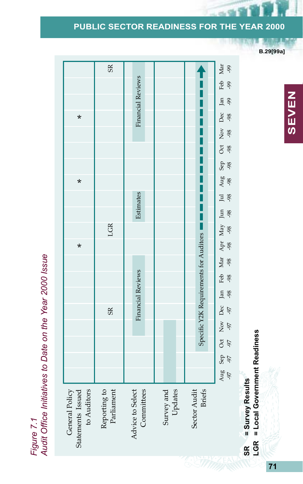**B.29[99a]**

*Figure 7.1 Audit Office Initiatives to Date on the Year 2000 Issue* General Policy Statements Issued to Auditors Reporting to Parliament \* \* \*SR LGR

|                                                    | SR                         |                                |                       |                                                       |                                                                                                                                                                 |
|----------------------------------------------------|----------------------------|--------------------------------|-----------------------|-------------------------------------------------------|-----------------------------------------------------------------------------------------------------------------------------------------------------------------|
|                                                    |                            | <b>Financial Reviews</b>       |                       |                                                       | Aug Sep Oct Nov Dec Jan Feb Mar Apr May Jul Aug Agg Sep Oct Nov Dec Jan Feb Mar<br>Ang den Geo Sep Ge Sep Spr Agg Sep Ge Sep Sep Oct Nov 1951 and 1967 Apr 1962 |
|                                                    |                            |                                |                       |                                                       |                                                                                                                                                                 |
| $\star$                                            |                            |                                |                       |                                                       |                                                                                                                                                                 |
|                                                    |                            |                                |                       |                                                       |                                                                                                                                                                 |
|                                                    |                            |                                |                       |                                                       |                                                                                                                                                                 |
|                                                    |                            |                                |                       |                                                       |                                                                                                                                                                 |
| $\star$                                            |                            |                                |                       |                                                       |                                                                                                                                                                 |
|                                                    |                            | Estimates                      |                       |                                                       |                                                                                                                                                                 |
|                                                    |                            |                                |                       |                                                       |                                                                                                                                                                 |
|                                                    | LGR                        |                                |                       |                                                       |                                                                                                                                                                 |
| $\star$                                            |                            |                                |                       |                                                       |                                                                                                                                                                 |
|                                                    |                            |                                |                       |                                                       |                                                                                                                                                                 |
|                                                    |                            | <b>Financial Reviews</b>       |                       | Specific Y2K Requirements for Auditors $\blacksquare$ |                                                                                                                                                                 |
|                                                    |                            |                                |                       |                                                       |                                                                                                                                                                 |
|                                                    | $S_{\rm R}$                |                                |                       |                                                       |                                                                                                                                                                 |
|                                                    |                            |                                |                       |                                                       |                                                                                                                                                                 |
|                                                    |                            |                                |                       |                                                       |                                                                                                                                                                 |
|                                                    |                            |                                |                       |                                                       |                                                                                                                                                                 |
|                                                    |                            |                                |                       |                                                       |                                                                                                                                                                 |
| to Auditors<br>Statements Issued<br>General Policy | Reporting to<br>Parliament | Advice to Select<br>Committees | Survey and<br>Updates | Sector Audit<br><b>Briefs</b>                         |                                                                                                                                                                 |

# = Survey Results **SR = Survey Results** SR<br>LGR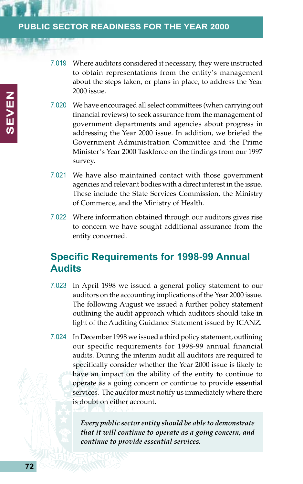- 7.019 Where auditors considered it necessary, they were instructed to obtain representations from the entity's management about the steps taken, or plans in place, to address the Year 2000 issue.
- 7.020 We have encouraged all select committees (when carrying out financial reviews) to seek assurance from the management of government departments and agencies about progress in addressing the Year 2000 issue. In addition, we briefed the Government Administration Committee and the Prime Minister's Year 2000 Taskforce on the findings from our 1997 survey.
- 7.021 We have also maintained contact with those government agencies and relevant bodies with a direct interest in the issue. These include the State Services Commission, the Ministry of Commerce, and the Ministry of Health.
- 7.022 Where information obtained through our auditors gives rise to concern we have sought additional assurance from the entity concerned.

# **Specific Requirements for 1998-99 Annual Audits**

- 7.023 In April 1998 we issued a general policy statement to our auditors on the accounting implications of the Year 2000 issue. The following August we issued a further policy statement outlining the audit approach which auditors should take in light of the Auditing Guidance Statement issued by ICANZ.
- 7.024 In December 1998 we issued a third policy statement, outlining our specific requirements for 1998-99 annual financial audits. During the interim audit all auditors are required to specifically consider whether the Year 2000 issue is likely to have an impact on the ability of the entity to continue to operate as a going concern or continue to provide essential services. The auditor must notify us immediately where there is doubt on either account.

*Every public sector entity should be able to demonstrate that it will continue to operate as a going concern, and continue to provide essential services.*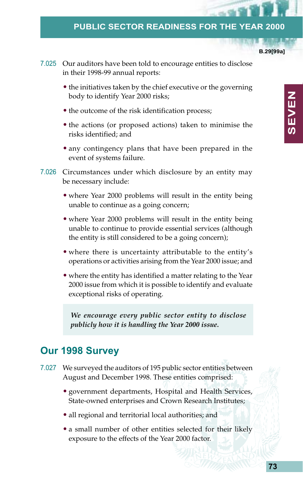**B.29[99a]**

- 7.025 Our auditors have been told to encourage entities to disclose in their 1998-99 annual reports:
	- the initiatives taken by the chief executive or the governing body to identify Year 2000 risks;
	- the outcome of the risk identification process;
	- the actions (or proposed actions) taken to minimise the risks identified; and
	- any contingency plans that have been prepared in the event of systems failure.
- 7.026 Circumstances under which disclosure by an entity may be necessary include:
	- where Year 2000 problems will result in the entity being unable to continue as a going concern;
	- where Year 2000 problems will result in the entity being unable to continue to provide essential services (although the entity is still considered to be a going concern);
	- where there is uncertainty attributable to the entity's operations or activities arising from the Year 2000 issue; and
	- where the entity has identified a matter relating to the Year 2000 issue from which it is possible to identify and evaluate exceptional risks of operating.

*We encourage every public sector entity to disclose publicly how it is handling the Year 2000 issue.*

# **Our 1998 Survey**

- 7.027 We surveyed the auditors of 195 public sector entities between August and December 1998. These entities comprised:
	- government departments, Hospital and Health Services, State-owned enterprises and Crown Research Institutes;
	- all regional and territorial local authorities; and
	- a small number of other entities selected for their likely exposure to the effects of the Year 2000 factor.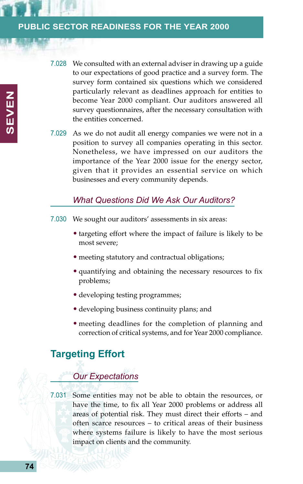- 7.028 We consulted with an external adviser in drawing up a guide to our expectations of good practice and a survey form. The survey form contained six questions which we considered particularly relevant as deadlines approach for entities to become Year 2000 compliant. Our auditors answered all survey questionnaires, after the necessary consultation with the entities concerned.
- 7.029 As we do not audit all energy companies we were not in a position to survey all companies operating in this sector. Nonetheless, we have impressed on our auditors the importance of the Year 2000 issue for the energy sector, given that it provides an essential service on which businesses and every community depends.

#### *What Questions Did We Ask Our Auditors?*

- 7.030 We sought our auditors' assessments in six areas:
	- targeting effort where the impact of failure is likely to be most severe;
	- meeting statutory and contractual obligations;
	- quantifying and obtaining the necessary resources to fix problems;
	- developing testing programmes;
	- developing business continuity plans; and
	- meeting deadlines for the completion of planning and correction of critical systems, and for Year 2000 compliance.

# **Targeting Effort**

## *Our Expectations*

7.031 Some entities may not be able to obtain the resources, or have the time, to fix all Year 2000 problems or address all areas of potential risk. They must direct their efforts – and often scarce resources – to critical areas of their business where systems failure is likely to have the most serious impact on clients and the community.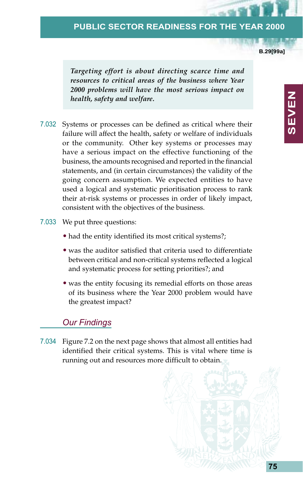**B.29[99a]**

*Targeting effort is about directing scarce time and resources to critical areas of the business where Year 2000 problems will have the most serious impact on health, safety and welfare.*

- 7.032 Systems or processes can be defined as critical where their failure will affect the health, safety or welfare of individuals or the community. Other key systems or processes may have a serious impact on the effective functioning of the business, the amounts recognised and reported in the financial statements, and (in certain circumstances) the validity of the going concern assumption. We expected entities to have used a logical and systematic prioritisation process to rank their at-risk systems or processes in order of likely impact, consistent with the objectives of the business.
- 7.033 We put three questions:
	- had the entity identified its most critical systems?;
	- was the auditor satisfied that criteria used to differentiate between critical and non-critical systems reflected a logical and systematic process for setting priorities?; and
	- was the entity focusing its remedial efforts on those areas of its business where the Year 2000 problem would have the greatest impact?

#### *Our Findings*

7.034 Figure 7.2 on the next page shows that almost all entities had identified their critical systems. This is vital where time is running out and resources more difficult to obtain.



**SEVEN NEVEN**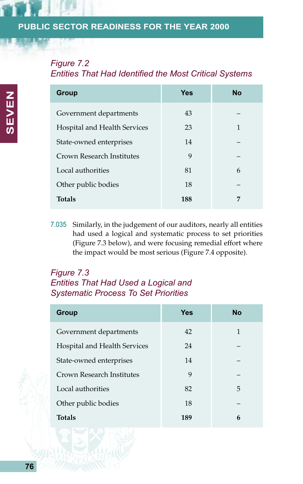# *Figure 7.2*

*Entities That Had Identified the Most Critical Systems*

| <b>Group</b>                 | <b>Yes</b> | <b>No</b> |
|------------------------------|------------|-----------|
| Government departments       | 43         |           |
| Hospital and Health Services | 23         | 1         |
| State-owned enterprises      | 14         |           |
| Crown Research Institutes    | 9          |           |
| Local authorities            | 81         | 6         |
| Other public bodies          | 18         |           |
| <b>Totals</b>                | 188        | 7         |

7.035 Similarly, in the judgement of our auditors, nearly all entities had used a logical and systematic process to set priorities (Figure 7.3 below), and were focusing remedial effort where the impact would be most serious (Figure 7.4 opposite).

## *Figure 7.3 Entities That Had Used a Logical and Systematic Process To Set Priorities*

| <b>Group</b>                 | <b>Yes</b> | <b>No</b> |
|------------------------------|------------|-----------|
| Government departments       | 42         | 1         |
| Hospital and Health Services | 24         |           |
| State-owned enterprises      | 14         |           |
| Crown Research Institutes    | 9          |           |
| Local authorities            | 82         | 5         |
| Other public bodies          | 18         |           |
| <b>Totals</b>                | 189        | 6         |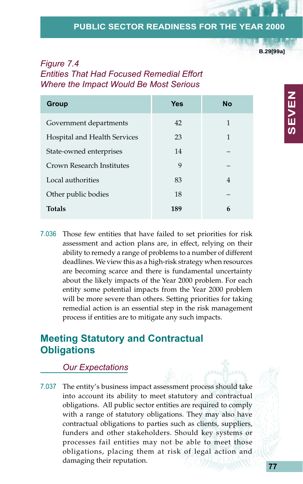**B.29[99a]**

## *Figure 7.4 Entities That Had Focused Remedial Effort Where the Impact Would Be Most Serious*

| <b>Group</b>                 | <b>Yes</b> | No |
|------------------------------|------------|----|
| Government departments       | 42         | 1  |
| Hospital and Health Services | 23         | 1  |
| State-owned enterprises      | 14         |    |
| Crown Research Institutes    | 9          |    |
| Local authorities            | 83         | 4  |
| Other public bodies          | 18         |    |
| <b>Totals</b>                | 189        | 6  |

7.036 Those few entities that have failed to set priorities for risk assessment and action plans are, in effect, relying on their ability to remedy a range of problems to a number of different deadlines. We view this as a high-risk strategy when resources are becoming scarce and there is fundamental uncertainty about the likely impacts of the Year 2000 problem. For each entity some potential impacts from the Year 2000 problem will be more severe than others. Setting priorities for taking remedial action is an essential step in the risk management process if entities are to mitigate any such impacts.

# **Meeting Statutory and Contractual Obligations**

#### *Our Expectations*

7.037 The entity's business impact assessment process should take into account its ability to meet statutory and contractual obligations. All public sector entities are required to comply with a range of statutory obligations. They may also have contractual obligations to parties such as clients, suppliers, funders and other stakeholders. Should key systems or processes fail entities may not be able to meet those obligations, placing them at risk of legal action and damaging their reputation.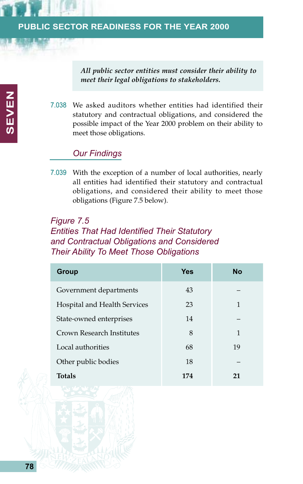*All public sector entities must consider their ability to meet their legal obligations to stakeholders.*

7.038 We asked auditors whether entities had identified their statutory and contractual obligations, and considered the possible impact of the Year 2000 problem on their ability to meet those obligations.

# *Our Findings*

7.039 With the exception of a number of local authorities, nearly all entities had identified their statutory and contractual obligations, and considered their ability to meet those obligations (Figure 7.5 below).

# *Figure 7.5 Entities That Had Identified Their Statutory and Contractual Obligations and Considered Their Ability To Meet Those Obligations*

| Group                        | <b>Yes</b> | No |
|------------------------------|------------|----|
| Government departments       | 43         |    |
| Hospital and Health Services | 23         | 1  |
| State-owned enterprises      | 14         |    |
| Crown Research Institutes    | 8          | 1  |
| Local authorities            | 68         | 19 |
| Other public bodies          | 18         |    |
| <b>Totals</b>                | 174        | 21 |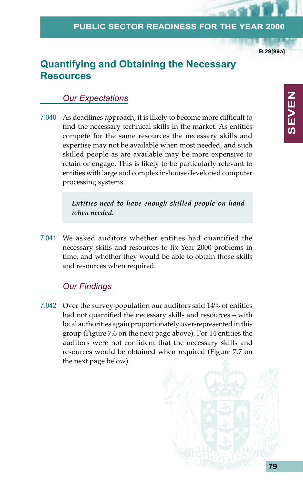**B.29[99a]**

# **Quantifying and Obtaining the Necessary Resources**

## *Our Expectations*

7.040 As deadlines approach, it is likely to become more difficult to find the necessary technical skills in the market. As entities compete for the same resources the necessary skills and expertise may not be available when most needed, and such skilled people as are available may be more expensive to retain or engage. This is likely to be particularly relevant to entities with large and complex in-house developed computer processing systems.

> *Entities need to have enough skilled people on hand when needed.*

7.041 We asked auditors whether entities had quantified the necessary skills and resources to fix Year 2000 problems in time, and whether they would be able to obtain those skills and resources when required.

## *Our Findings*

7.042 Over the survey population our auditors said 14% of entities had not quantified the necessary skills and resources – with local authorities again proportionately over-represented in this group (Figure 7.6 on the next page above). For 14 entities the auditors were not confident that the necessary skills and resources would be obtained when required (Figure 7.7 on the next page below).

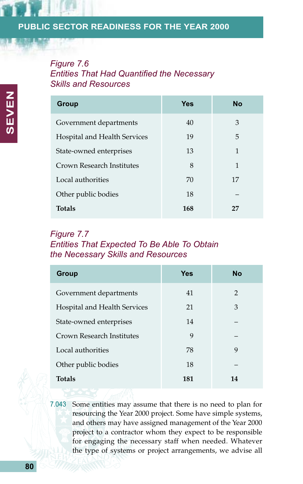# *Figure 7.6 Entities That Had Quantified the Necessary Skills and Resources*

| Group                        | Yes | <b>No</b> |
|------------------------------|-----|-----------|
| Government departments       | 40  | 3         |
| Hospital and Health Services | 19  | 5         |
| State-owned enterprises      | 13  | 1         |
| Crown Research Institutes    | 8   | 1         |
| Local authorities            | 70  | 17        |
| Other public bodies          | 18  |           |
| <b>Totals</b>                | 168 | 27        |

# *Figure 7.7 Entities That Expected To Be Able To Obtain the Necessary Skills and Resources*

| <b>Group</b>                 | Yes | <b>No</b>      |
|------------------------------|-----|----------------|
| Government departments       | 41  | $\overline{2}$ |
| Hospital and Health Services | 21  | 3              |
| State-owned enterprises      | 14  |                |
| Crown Research Institutes    | 9   |                |
| Local authorities            | 78  | 9              |
| Other public bodies          | 18  |                |
| <b>Totals</b>                | 181 | 14             |

7.043 Some entities may assume that there is no need to plan for resourcing the Year 2000 project. Some have simple systems, and others may have assigned management of the Year 2000 project to a contractor whom they expect to be responsible for engaging the necessary staff when needed. Whatever the type of systems or project arrangements, we advise all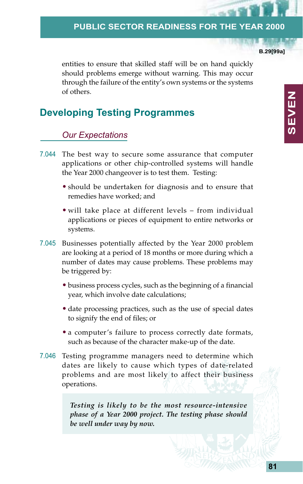**B.29[99a]**

entities to ensure that skilled staff will be on hand quickly should problems emerge without warning. This may occur through the failure of the entity's own systems or the systems of others.

# **Developing Testing Programmes**

#### *Our Expectations*

- 7.044 The best way to secure some assurance that computer applications or other chip-controlled systems will handle the Year 2000 changeover is to test them. Testing:
	- should be undertaken for diagnosis and to ensure that remedies have worked; and
	- will take place at different levels from individual applications or pieces of equipment to entire networks or systems.
- 7.045 Businesses potentially affected by the Year 2000 problem are looking at a period of 18 months or more during which a number of dates may cause problems. These problems may be triggered by:
	- business process cycles, such as the beginning of a financial year, which involve date calculations;
	- date processing practices, such as the use of special dates to signify the end of files; or
	- a computer's failure to process correctly date formats, such as because of the character make-up of the date.
- 7.046 Testing programme managers need to determine which dates are likely to cause which types of date-related problems and are most likely to affect their business operations.

*Testing is likely to be the most resource-intensive phase of a Year 2000 project. The testing phase should be well under way by now.*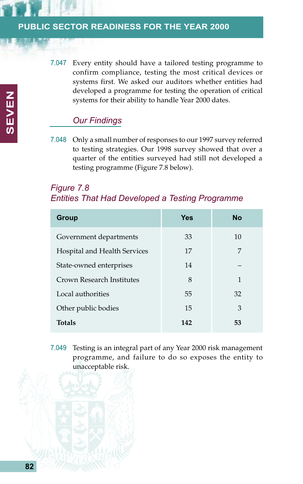7.047 Every entity should have a tailored testing programme to confirm compliance, testing the most critical devices or systems first. We asked our auditors whether entities had developed a programme for testing the operation of critical systems for their ability to handle Year 2000 dates.

# *Our Findings*

7.048 Only a small number of responses to our 1997 survey referred to testing strategies. Our 1998 survey showed that over a quarter of the entities surveyed had still not developed a testing programme (Figure 7.8 below).

# *Figure 7.8 Entities That Had Developed a Testing Programme*

| <b>Group</b>                 | Yes | <b>No</b> |
|------------------------------|-----|-----------|
| Government departments       | 33  | 10        |
| Hospital and Health Services | 17  | 7         |
| State-owned enterprises      | 14  |           |
| Crown Research Institutes    | 8   | 1         |
| Local authorities            | 55  | 32        |
| Other public bodies          | 15  | 3         |
| <b>Totals</b>                | 142 | 53        |

7.049 Testing is an integral part of any Year 2000 risk management programme, and failure to do so exposes the entity to unacceptable risk.

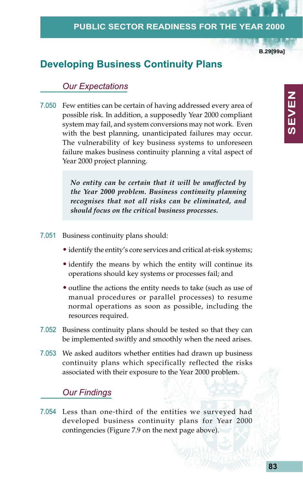**B.29[99a]**

# **Developing Business Continuity Plans**

## *Our Expectations*

7.050 Few entities can be certain of having addressed every area of possible risk. In addition, a supposedly Year 2000 compliant system may fail, and system conversions may not work. Even with the best planning, unanticipated failures may occur. The vulnerability of key business systems to unforeseen failure makes business continuity planning a vital aspect of Year 2000 project planning.

> *No entity can be certain that it will be unaffected by the Year 2000 problem. Business continuity planning recognises that not all risks can be eliminated, and should focus on the critical business processes.*

- 7.051 Business continuity plans should:
	- identify the entity's core services and critical at-risk systems;
	- identify the means by which the entity will continue its operations should key systems or processes fail; and
	- outline the actions the entity needs to take (such as use of manual procedures or parallel processes) to resume normal operations as soon as possible, including the resources required.
- 7.052 Business continuity plans should be tested so that they can be implemented swiftly and smoothly when the need arises.
- 7.053 We asked auditors whether entities had drawn up business continuity plans which specifically reflected the risks associated with their exposure to the Year 2000 problem.

#### *Our Findings*

7.054 Less than one-third of the entities we surveyed had developed business continuity plans for Year 2000 contingencies (Figure 7.9 on the next page above).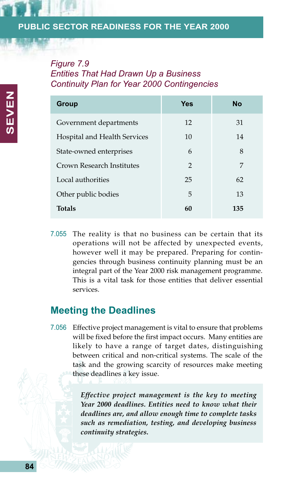# *Figure 7.9 Entities That Had Drawn Up a Business Continuity Plan for Year 2000 Contingencies*

| Group                        | Yes            | <b>No</b> |
|------------------------------|----------------|-----------|
| Government departments       | 12             | 31        |
| Hospital and Health Services | 10             | 14        |
| State-owned enterprises      | 6              | 8         |
| Crown Research Institutes    | $\mathfrak{D}$ | 7         |
| Local authorities            | 25             | 62        |
| Other public bodies          | 5              | 13        |
| <b>Totals</b>                | 60             | 135       |

7.055 The reality is that no business can be certain that its operations will not be affected by unexpected events, however well it may be prepared. Preparing for contingencies through business continuity planning must be an integral part of the Year 2000 risk management programme. This is a vital task for those entities that deliver essential services.

# **Meeting the Deadlines**

7.056 Effective project management is vital to ensure that problems will be fixed before the first impact occurs. Many entities are likely to have a range of target dates, distinguishing between critical and non-critical systems. The scale of the task and the growing scarcity of resources make meeting these deadlines a key issue.

> *Effective project management is the key to meeting Year 2000 deadlines. Entities need to know what their deadlines are, and allow enough time to complete tasks such as remediation, testing, and developing business continuity strategies.*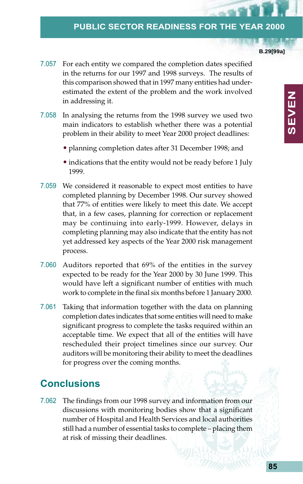**B.29[99a]**

**SEVEN**

**SEVEN** 

- 7.057 For each entity we compared the completion dates specified in the returns for our 1997 and 1998 surveys. The results of this comparison showed that in 1997 many entities had underestimated the extent of the problem and the work involved in addressing it.
- 7.058 In analysing the returns from the 1998 survey we used two main indicators to establish whether there was a potential problem in their ability to meet Year 2000 project deadlines:
	- planning completion dates after 31 December 1998; and
	- indications that the entity would not be ready before 1 July 1999.
- 7.059 We considered it reasonable to expect most entities to have completed planning by December 1998. Our survey showed that 77% of entities were likely to meet this date. We accept that, in a few cases, planning for correction or replacement may be continuing into early-1999. However, delays in completing planning may also indicate that the entity has not yet addressed key aspects of the Year 2000 risk management process.
- 7.060 Auditors reported that 69% of the entities in the survey expected to be ready for the Year 2000 by 30 June 1999. This would have left a significant number of entities with much work to complete in the final six months before 1 January 2000.
- 7.061 Taking that information together with the data on planning completion dates indicates that some entities will need to make significant progress to complete the tasks required within an acceptable time. We expect that all of the entities will have rescheduled their project timelines since our survey. Our auditors will be monitoring their ability to meet the deadlines for progress over the coming months.

# **Conclusions**

7.062 The findings from our 1998 survey and information from our discussions with monitoring bodies show that a significant number of Hospital and Health Services and local authorities still had a number of essential tasks to complete – placing them at risk of missing their deadlines.